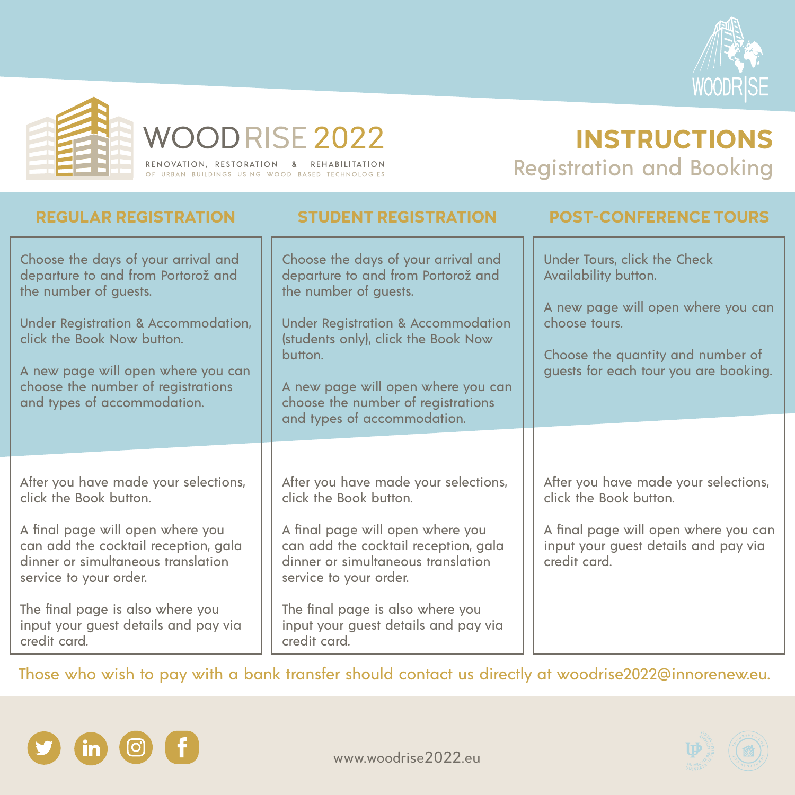



# WOODRISE 2022

RENOVATION, RESTORATION & REHABILITATION OF URBAN BUILDINGS USING WOOD BASED TECHNOLOGIES

## **INSTRUCTIONS** Registration and Booking





The final page is also where you input your guest details and pay via credit card.

The final page is also where you input your guest details and pay via credit card.

| <b>REGULAR REGISTRATION</b>                                                                                                                                                                                                                                                        | STUDENT REGISTRATION                                                                                                                                                                                                                                                                                             | <b>POST-CONFERENCE TOURS</b>                                                                                                                                                              |
|------------------------------------------------------------------------------------------------------------------------------------------------------------------------------------------------------------------------------------------------------------------------------------|------------------------------------------------------------------------------------------------------------------------------------------------------------------------------------------------------------------------------------------------------------------------------------------------------------------|-------------------------------------------------------------------------------------------------------------------------------------------------------------------------------------------|
| Choose the days of your arrival and<br>departure to and from Portorož and<br>the number of guests.<br>Under Registration & Accommodation,<br>click the Book Now button.<br>A new page will open where you can<br>choose the number of registrations<br>and types of accommodation. | Choose the days of your arrival and<br>departure to and from Portorož and<br>the number of guests.<br><b>Under Registration &amp; Accommodation</b><br>(students only), click the Book Now<br>button.<br>A new page will open where you can<br>choose the number of registrations<br>and types of accommodation. | Under Tours, click the Check<br>Availability button.<br>A new page will open where you can<br>choose tours.<br>Choose the quantity and number of<br>guests for each tour you are booking. |
|                                                                                                                                                                                                                                                                                    |                                                                                                                                                                                                                                                                                                                  |                                                                                                                                                                                           |
| After you have made your selections,<br>click the Book button.<br>A final page will open where you<br>can add the cocktail reception, gala<br>dinner or simultaneous translation                                                                                                   | After you have made your selections,<br>click the Book button.<br>A final page will open where you<br>can add the cocktail reception, gala<br>dinner or simultaneous translation                                                                                                                                 | After you have made your selections,<br>click the Book button.<br>A final page will open where you can<br>input your guest details and pay via<br>credit card.                            |
| service to your order.                                                                                                                                                                                                                                                             | service to your order.                                                                                                                                                                                                                                                                                           |                                                                                                                                                                                           |

Those who wish to pay with a bank transfer should contact us directly at woodrise2022@innorenew.eu.

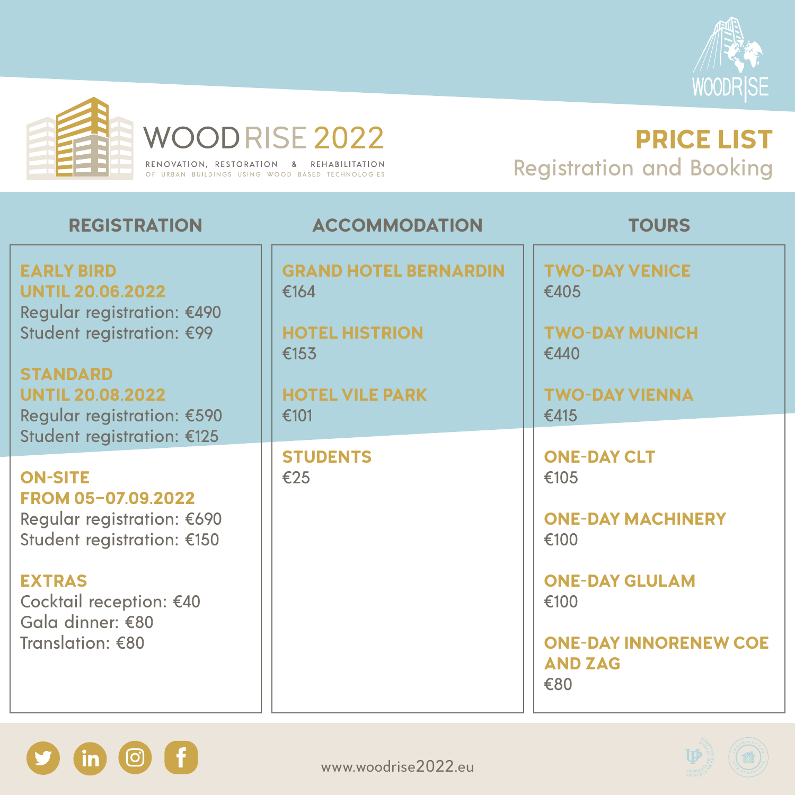



# WOODRISE 2022

RENOVATION, RESTORATION & REHABILITATION OF URBAN BUILDINGS USING WOOD BASED TECHNOLOGIES

### **PRICE LIST** Registration and Booking





| <b>REGISTRATION</b>                                                        | <b>ACCOMMODATION</b>                 | <b>TOURS</b>                                           |
|----------------------------------------------------------------------------|--------------------------------------|--------------------------------------------------------|
| <b>EARLY BIRD</b><br><b>UNTIL 20.06.2022</b><br>Regular registration: €490 | <b>GRAND HOTEL BERNARDIN</b><br>€164 | <b>TWO-DAY VENICE</b><br>€405                          |
| Student registration: €99                                                  | <b>HOTEL HISTRION</b><br>£153        | <b>TWO-DAY MUNICH</b><br>€440                          |
| <b>STANDARD</b><br><b>UNTIL 20.08.2022</b><br>Regular registration: €590   | <b>HOTEL VILE PARK</b><br>€101       | <b>TWO-DAY VIENNA</b><br>€415                          |
| Student registration: €125                                                 |                                      |                                                        |
| <b>ON-SITE</b><br><b>FROM 05-07.09.2022</b><br>Regular registration: €690  | <b>STUDENTS</b><br>€25               | <b>ONE-DAY CLT</b><br>€105<br><b>ONE-DAY MACHINERY</b> |
| Student registration: €150                                                 |                                      | €100                                                   |
| <b>EXTRAS</b><br>Cocktail reception: £10                                   |                                      | <b>ONE-DAY GLULAM</b><br>£100                          |



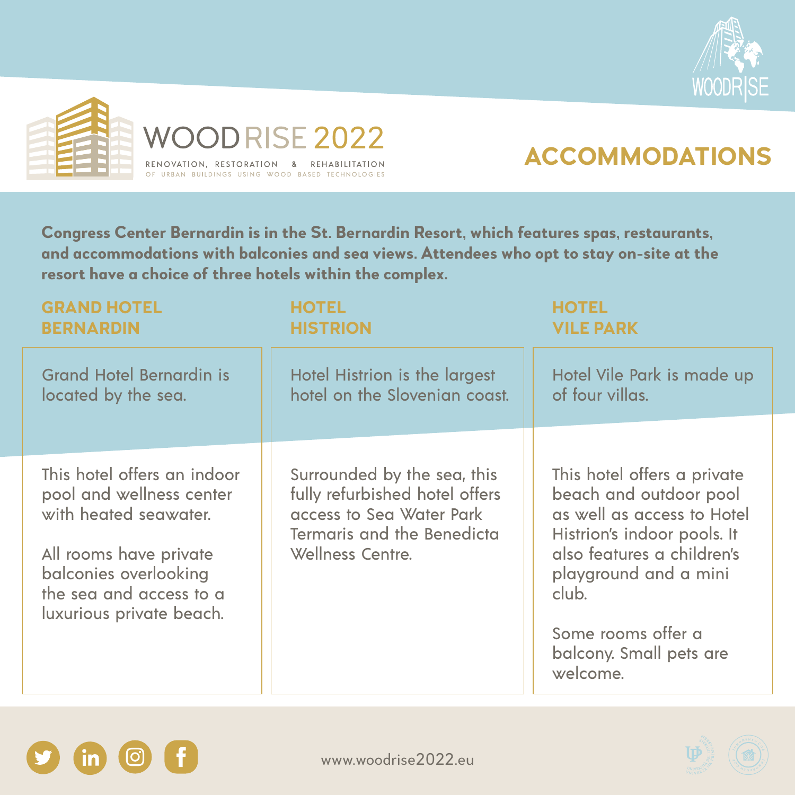



## **ACCOMMODATIONS**

www.woodrise2022.eu



**Congress Center Bernardin is in the St. Bernardin Resort, which features spas, restaurants, and accommodations with balconies and sea views. Attendees who opt to stay on-site at the resort have a choice of three hotels within the complex.**

| <b>GRAND HOTEL</b><br><b>BERNARDIN</b>                                           | <b>HOTEL</b><br><b>HISTRION</b>                                                                                                | <b>HOTEL</b><br><b>VILE PARK</b>                                                                                   |
|----------------------------------------------------------------------------------|--------------------------------------------------------------------------------------------------------------------------------|--------------------------------------------------------------------------------------------------------------------|
| <b>Grand Hotel Bernardin is</b><br>located by the sea.                           | Hotel Histrion is the largest<br>hotel on the Slovenian coast.                                                                 | Hotel Vile Park is made up<br>of four villas.                                                                      |
|                                                                                  |                                                                                                                                |                                                                                                                    |
|                                                                                  |                                                                                                                                |                                                                                                                    |
| This hotel offers an indoor<br>pool and wellness center<br>with heated seawater. | Surrounded by the sea, this<br>fully refurbished hotel offers<br>access to Sea Water Park<br><b>Termaris and the Benedicta</b> | This hotel offers a private<br>beach and outdoor pool<br>as well as access to Hotel<br>Histrion's indoor pools. It |
| All rooms have private<br>balconies overlooking<br>the sea and access to a       | Wellness Centre.                                                                                                               | also features a children's<br>playground and a mini<br>$\mathsf{club}$                                             |